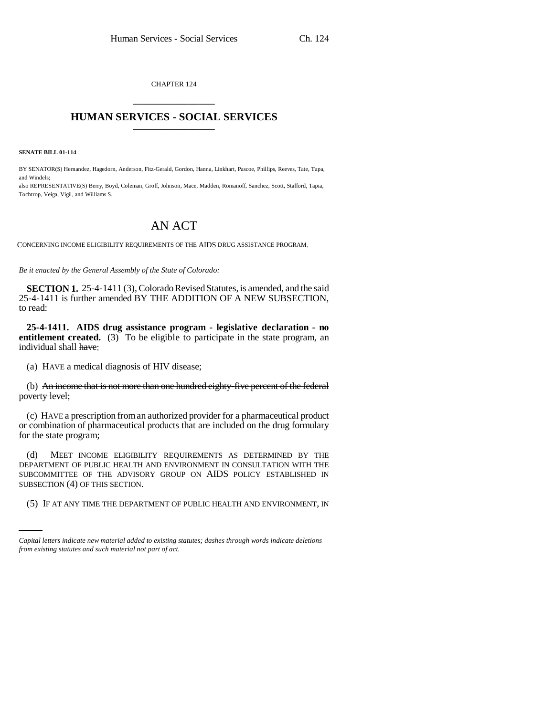CHAPTER 124 \_\_\_\_\_\_\_\_\_\_\_\_\_\_\_

## **HUMAN SERVICES - SOCIAL SERVICES** \_\_\_\_\_\_\_\_\_\_\_\_\_\_\_

**SENATE BILL 01-114**

BY SENATOR(S) Hernandez, Hagedorn, Anderson, Fitz-Gerald, Gordon, Hanna, Linkhart, Pascoe, Phillips, Reeves, Tate, Tupa, and Windels;

also REPRESENTATIVE(S) Berry, Boyd, Coleman, Groff, Johnson, Mace, Madden, Romanoff, Sanchez, Scott, Stafford, Tapia, Tochtrop, Veiga, Vigil, and Williams S.

## AN ACT

CONCERNING INCOME ELIGIBILITY REQUIREMENTS OF THE AIDS DRUG ASSISTANCE PROGRAM.

*Be it enacted by the General Assembly of the State of Colorado:*

**SECTION 1.** 25-4-1411 (3), Colorado Revised Statutes, is amended, and the said 25-4-1411 is further amended BY THE ADDITION OF A NEW SUBSECTION, to read:

**25-4-1411. AIDS drug assistance program - legislative declaration - no entitlement created.** (3) To be eligible to participate in the state program, an individual shall have:

(a) HAVE a medical diagnosis of HIV disease;

(b) An income that is not more than one hundred eighty-five percent of the federal poverty level;

(c) HAVE a prescription from an authorized provider for a pharmaceutical product or combination of pharmaceutical products that are included on the drug formulary for the state program;

SUBSECTION (4) OF THIS SECTION. (d) MEET INCOME ELIGIBILITY REQUIREMENTS AS DETERMINED BY THE DEPARTMENT OF PUBLIC HEALTH AND ENVIRONMENT IN CONSULTATION WITH THE SUBCOMMITTEE OF THE ADVISORY GROUP ON AIDS POLICY ESTABLISHED IN

(5) IF AT ANY TIME THE DEPARTMENT OF PUBLIC HEALTH AND ENVIRONMENT, IN

*Capital letters indicate new material added to existing statutes; dashes through words indicate deletions from existing statutes and such material not part of act.*